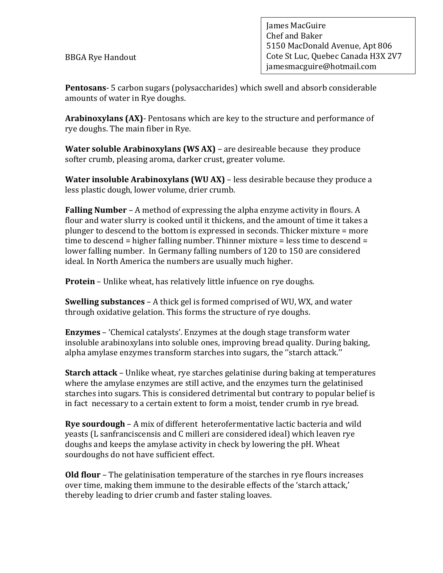BBGA Rye Handout

James MacGuire Chef and Baker 5150 MacDonald Avenue, Apt 806 Cote St Luc, Quebec Canada H3X 2V7 jamesmacguire@hotmail.com

**Pentosans**- 5 carbon sugars (polysaccharides) which swell and absorb considerable amounts of water in Rye doughs.

**Arabinoxylans (AX)**- Pentosans which are key to the structure and performance of rye doughs. The main fiber in Rye.

**Water soluble Arabinoxylans (WS AX)** – are desireable because they produce softer crumb, pleasing aroma, darker crust, greater volume.

**Water insoluble Arabinoxylans (WU AX)** – less desirable because they produce a less plastic dough, lower volume, drier crumb.

**Falling Number** – A method of expressing the alpha enzyme activity in flours. A flour and water slurry is cooked until it thickens, and the amount of time it takes a plunger to descend to the bottom is expressed in seconds. Thicker mixture = more time to descend = higher falling number. Thinner mixture = less time to descend = lower falling number. In Germany falling numbers of 120 to 150 are considered ideal. In North America the numbers are usually much higher.

**Protein** – Unlike wheat, has relatively little infuence on rye doughs.

**Swelling substances** – A thick gel is formed comprised of WU, WX, and water through oxidative gelation. This forms the structure of rye doughs.

**Enzymes** – 'Chemical catalysts'. Enzymes at the dough stage transform water insoluble arabinoxylans into soluble ones, improving bread quality. During baking, alpha amylase enzymes transform starches into sugars, the ''starch attack.''

**Starch attack** – Unlike wheat, rye starches gelatinise during baking at temperatures where the amylase enzymes are still active, and the enzymes turn the gelatinised starches into sugars. This is considered detrimental but contrary to popular belief is in fact necessary to a certain extent to form a moist, tender crumb in rye bread.

**Rye sourdough** – A mix of different heterofermentative lactic bacteria and wild yeasts (L sanfranciscensis and C milleri are considered ideal) which leaven rye doughs and keeps the amylase activity in check by lowering the pH. Wheat sourdoughs do not have sufficient effect.

**Old flour** – The gelatinisation temperature of the starches in rye flours increases over time, making them immune to the desirable effects of the 'starch attack,' thereby leading to drier crumb and faster staling loaves.